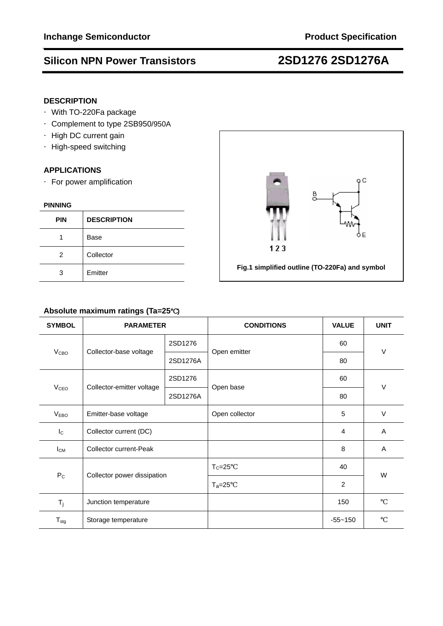# **Silicon NPN Power Transistors 2SD1276 2SD1276A**

## **DESCRIPTION**

- ·With TO-220Fa package
- ·Complement to type 2SB950/950A
- ·High DC current gain
- ·High-speed switching

## **APPLICATIONS**

·For power amplification

### **PINNING**

| <b>PIN</b> | <b>DESCRIPTION</b> |
|------------|--------------------|
|            | Base               |
| 2          | Collector          |
| 3          | Emitter            |



# **Absolute maximum ratings (Ta=25**℃**)**

| <b>SYMBOL</b>           | <b>PARAMETER</b>              |          | <b>CONDITIONS</b> | <b>VALUE</b>   | <b>UNIT</b> |  |
|-------------------------|-------------------------------|----------|-------------------|----------------|-------------|--|
|                         | Collector-base voltage        | 2SD1276  |                   | 60             |             |  |
| <b>V</b> <sub>CВО</sub> |                               | 2SD1276A | Open emitter      | 80             | $\vee$      |  |
|                         | Collector-emitter voltage     | 2SD1276  | Open base         | 60             | V           |  |
| <b>V<sub>CEO</sub></b>  |                               | 2SD1276A |                   | 80             |             |  |
| V <sub>EBO</sub>        | Emitter-base voltage          |          | Open collector    | 5              | $\vee$      |  |
| $I_{\rm C}$             | Collector current (DC)        |          |                   | $\overline{4}$ | A           |  |
| $I_{CM}$                | <b>Collector current-Peak</b> |          |                   | 8              | A           |  |
| $P_{C}$                 | Collector power dissipation   |          | $T_c = 25$        | 40             | W           |  |
|                         |                               |          | $T_a = 25$        | 2              |             |  |
| $T_j$                   | Junction temperature          |          |                   | 150            |             |  |
| $T_{\text{stg}}$        | Storage temperature           |          |                   | $-55 - 150$    |             |  |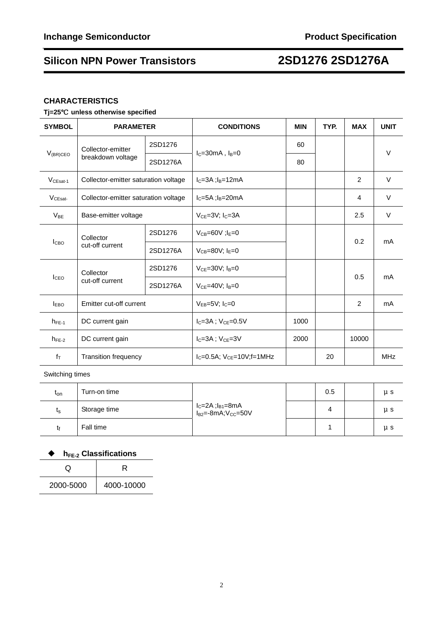# **Silicon NPN Power Transistors 2SD1276 2SD1276A**

## **CHARACTERISTICS**

# **Tj=25**℃ **unless otherwise specified**

| <b>SYMBOL</b>                                    | <b>PARAMETER</b>                      |          | <b>CONDITIONS</b>              | <b>MIN</b> | TYP. | <b>MAX</b>     | <b>UNIT</b> |
|--------------------------------------------------|---------------------------------------|----------|--------------------------------|------------|------|----------------|-------------|
| $V_{(BR)CEO}$                                    | Collector-emitter                     | 2SD1276  | $I_C = 30mA$ , $I_B = 0$       | 60         |      |                | V           |
|                                                  | breakdown voltage                     | 2SD1276A |                                | 80         |      |                |             |
| $VCEast-1$                                       | Collector-emitter saturation voltage  |          | $IC=3A$ ; $IB=12mA$            |            |      | 2              | $\vee$      |
| $V_{CEsat}$                                      | Collector-emitter saturation voltage  |          | $I_C = 5A$ ; $I_B = 20mA$      |            |      | $\overline{4}$ | $\vee$      |
| $V_{BE}$                                         | Base-emitter voltage                  |          | $V_{CF} = 3V$ ; $I_C = 3A$     |            |      | 2.5            | V           |
| I <sub>CBO</sub>                                 | Collector                             | 2SD1276  | $V_{CB} = 60V$ ; $I_F = 0$     |            |      | 0.2            | mA          |
|                                                  | cut-off current                       | 2SD1276A | $V_{CB} = 80V$ ; $I_E = 0$     |            |      |                |             |
| Collector<br>I <sub>CEO</sub><br>cut-off current | 2SD1276<br>$V_{CE} = 30V$ ; $I_B = 0$ |          |                                | 0.5        | mA   |                |             |
|                                                  |                                       | 2SD1276A | $V_{CE} = 40V$ ; $I_B = 0$     |            |      |                |             |
| <b>IEBO</b>                                      | Emitter cut-off current               |          | $V_{EB} = 5V$ ; $I_C = 0$      |            |      | $\mathfrak{p}$ | mA          |
| $h_{FE-1}$                                       | DC current gain                       |          | $I_C = 3A$ ; $V_{CE} = 0.5V$   | 1000       |      |                |             |
| $h_{FE-2}$                                       | DC current gain                       |          | $I_C = 3A$ ; $V_{CE} = 3V$     | 2000       |      | 10000          |             |
| $f_{\text{T}}$                                   | <b>Transition frequency</b>           |          | $IC=0.5A$ ; $VCE=10V$ ; f=1MHz |            | 20   |                | <b>MHz</b>  |

Switching times

| <sup>l</sup> on | Turn-on time |                                                                                        | 0.5 | μs |
|-----------------|--------------|----------------------------------------------------------------------------------------|-----|----|
| ւ <sub>Տ</sub>  | Storage time | l <sub>C</sub> =2A ;l <sub>B1</sub> =8mA<br>l <sub>B2</sub> =-8mA;V <sub>CC</sub> =50V |     | иs |
|                 | Fall time    |                                                                                        |     | μs |

# ◆ h<sub>FE-2</sub> Classifications

|           | R          |
|-----------|------------|
| 2000-5000 | 4000-10000 |